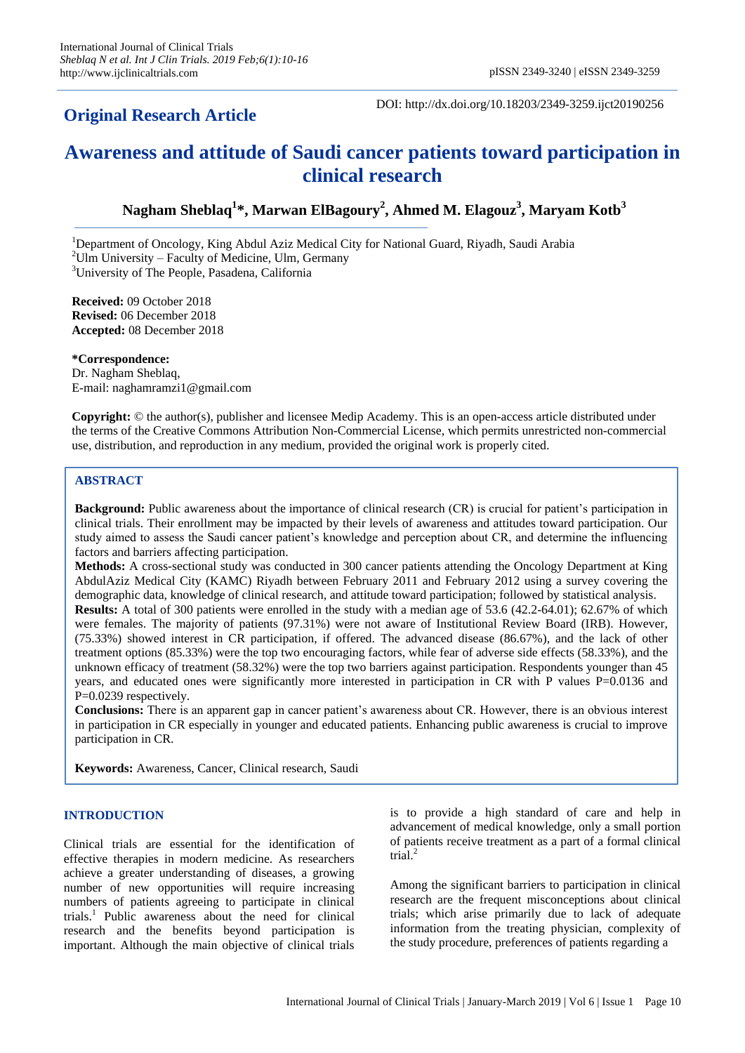# **Original Research Article**

DOI: http://dx.doi.org/10.18203/2349-3259.ijct20190256

# **Awareness and attitude of Saudi cancer patients toward participation in clinical research**

# **Nagham Sheblaq<sup>1</sup> \*, Marwan ElBagoury<sup>2</sup> , Ahmed M. Elagouz<sup>3</sup> , Maryam Kotb<sup>3</sup>**

<sup>1</sup>Department of Oncology, King Abdul Aziz Medical City for National Guard, Riyadh, Saudi Arabia  $2$ Ulm University – Faculty of Medicine, Ulm, Germany

<sup>3</sup>University of The People, Pasadena, California

**Received:** 09 October 2018 **Revised:** 06 December 2018 **Accepted:** 08 December 2018

**\*Correspondence:** Dr. Nagham Sheblaq, E-mail: naghamramzi1@gmail.com

**Copyright:** © the author(s), publisher and licensee Medip Academy. This is an open-access article distributed under the terms of the Creative Commons Attribution Non-Commercial License, which permits unrestricted non-commercial use, distribution, and reproduction in any medium, provided the original work is properly cited.

# **ABSTRACT**

**Background:** Public awareness about the importance of clinical research (CR) is crucial for patient's participation in clinical trials. Their enrollment may be impacted by their levels of awareness and attitudes toward participation. Our study aimed to assess the Saudi cancer patient's knowledge and perception about CR, and determine the influencing factors and barriers affecting participation.

**Methods:** A cross-sectional study was conducted in 300 cancer patients attending the Oncology Department at King AbdulAziz Medical City (KAMC) Riyadh between February 2011 and February 2012 using a survey covering the demographic data, knowledge of clinical research, and attitude toward participation; followed by statistical analysis.

**Results:** A total of 300 patients were enrolled in the study with a median age of 53.6 (42.2-64.01); 62.67% of which were females. The majority of patients (97.31%) were not aware of Institutional Review Board (IRB). However, (75.33%) showed interest in CR participation, if offered. The advanced disease (86.67%), and the lack of other treatment options (85.33%) were the top two encouraging factors, while fear of adverse side effects (58.33%), and the unknown efficacy of treatment (58.32%) were the top two barriers against participation. Respondents younger than 45 years, and educated ones were significantly more interested in participation in CR with P values P=0.0136 and P=0.0239 respectively.

**Conclusions:** There is an apparent gap in cancer patient's awareness about CR. However, there is an obvious interest in participation in CR especially in younger and educated patients. Enhancing public awareness is crucial to improve participation in CR.

**Keywords:** Awareness, Cancer, Clinical research, Saudi

## **INTRODUCTION**

Clinical trials are essential for the identification of effective therapies in modern medicine. As researchers achieve a greater understanding of diseases, a growing number of new opportunities will require increasing numbers of patients agreeing to participate in clinical trials.<sup>1</sup> Public awareness about the need for clinical research and the benefits beyond participation is important. Although the main objective of clinical trials is to provide a high standard of care and help in advancement of medical knowledge, only a small portion of patients receive treatment as a part of a formal clinical trial.<sup>2</sup>

Among the significant barriers to participation in clinical research are the frequent misconceptions about clinical trials; which arise primarily due to lack of adequate information from the treating physician, complexity of the study procedure, preferences of patients regarding a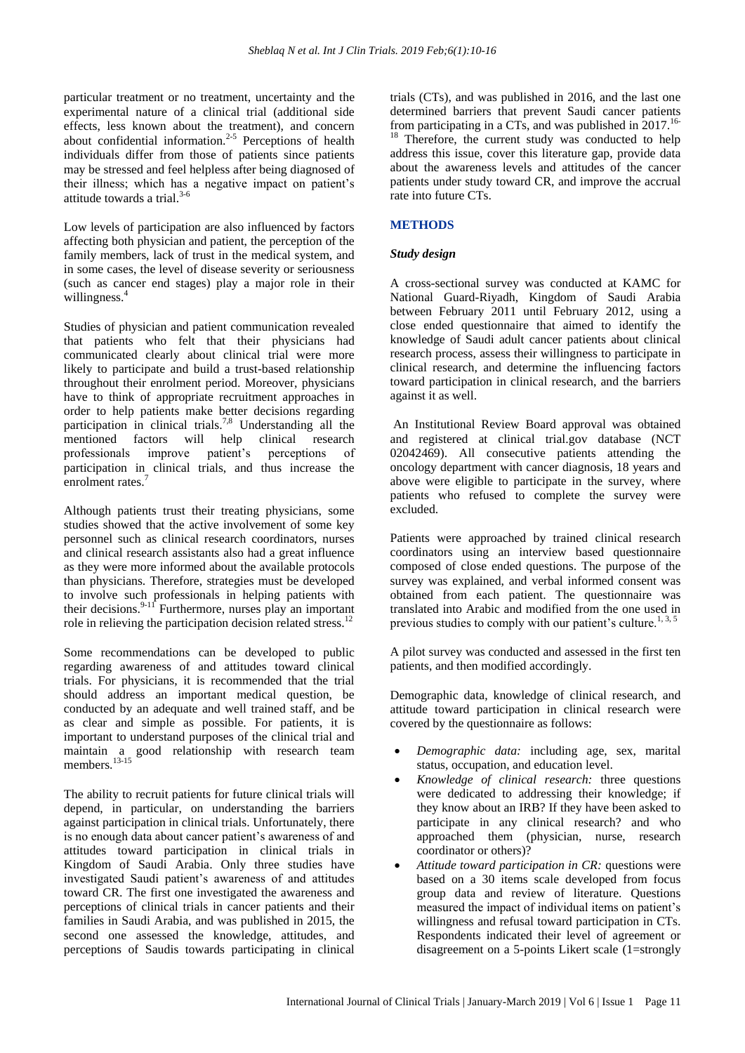particular treatment or no treatment, uncertainty and the experimental nature of a clinical trial (additional side effects, less known about the treatment), and concern about confidential information. $2-5$  Perceptions of health individuals differ from those of patients since patients may be stressed and feel helpless after being diagnosed of their illness; which has a negative impact on patient's attitude towards a trial.3-6

Low levels of participation are also influenced by factors affecting both physician and patient, the perception of the family members, lack of trust in the medical system, and in some cases, the level of disease severity or seriousness (such as cancer end stages) play a major role in their willingness.<sup>4</sup>

Studies of physician and patient communication revealed that patients who felt that their physicians had communicated clearly about clinical trial were more likely to participate and build a trust-based relationship throughout their enrolment period. Moreover, physicians have to think of appropriate recruitment approaches in order to help patients make better decisions regarding participation in clinical trials. 7,8 Understanding all the mentioned factors will help clinical research professionals improve patient's perceptions of participation in clinical trials, and thus increase the enrolment rates.<sup>7</sup>

Although patients trust their treating physicians, some studies showed that the active involvement of some key personnel such as clinical research coordinators, nurses and clinical research assistants also had a great influence as they were more informed about the available protocols than physicians. Therefore, strategies must be developed to involve such professionals in helping patients with their decisions.  $9-11$  Furthermore, nurses play an important role in relieving the participation decision related stress.<sup>12</sup>

Some recommendations can be developed to public regarding awareness of and attitudes toward clinical trials. For physicians, it is recommended that the trial should address an important medical question, be conducted by an adequate and well trained staff, and be as clear and simple as possible. For patients, it is important to understand purposes of the clinical trial and maintain a good relationship with research team members.<sup>13-15</sup>

The ability to recruit patients for future clinical trials will depend, in particular, on understanding the barriers against participation in clinical trials. Unfortunately, there is no enough data about cancer patient's awareness of and attitudes toward participation in clinical trials in Kingdom of Saudi Arabia. Only three studies have investigated Saudi patient's awareness of and attitudes toward CR. The first one investigated the awareness and perceptions of clinical trials in cancer patients and their families in Saudi Arabia, and was published in 2015, the second one assessed the knowledge, attitudes, and perceptions of Saudis towards participating in clinical trials (CTs), and was published in 2016, and the last one determined barriers that prevent Saudi cancer patients from participating in a CTs, and was published in 2017.<sup>16-</sup> <sup>18</sup> Therefore, the current study was conducted to help address this issue, cover this literature gap, provide data about the awareness levels and attitudes of the cancer patients under study toward CR, and improve the accrual rate into future CTs.

#### **METHODS**

#### *Study design*

A cross-sectional survey was conducted at KAMC for National Guard-Riyadh, Kingdom of Saudi Arabia between February 2011 until February 2012, using a close ended questionnaire that aimed to identify the knowledge of Saudi adult cancer patients about clinical research process, assess their willingness to participate in clinical research, and determine the influencing factors toward participation in clinical research, and the barriers against it as well.

An Institutional Review Board approval was obtained and registered at clinical trial.gov database (NCT 02042469). All consecutive patients attending the oncology department with cancer diagnosis, 18 years and above were eligible to participate in the survey, where patients who refused to complete the survey were excluded.

Patients were approached by trained clinical research coordinators using an interview based questionnaire composed of close ended questions. The purpose of the survey was explained, and verbal informed consent was obtained from each patient. The questionnaire was translated into Arabic and modified from the one used in previous studies to comply with our patient's culture.<sup>1, 3, 5</sup>

A pilot survey was conducted and assessed in the first ten patients, and then modified accordingly.

Demographic data, knowledge of clinical research, and attitude toward participation in clinical research were covered by the questionnaire as follows:

- *Demographic data:* including age, sex, marital status, occupation, and education level.
- *Knowledge of clinical research:* three questions were dedicated to addressing their knowledge; if they know about an IRB? If they have been asked to participate in any clinical research? and who approached them (physician, nurse, research coordinator or others)?
- *Attitude toward participation in CR:* questions were based on a 30 items scale developed from focus group data and review of literature. Questions measured the impact of individual items on patient's willingness and refusal toward participation in CTs. Respondents indicated their level of agreement or disagreement on a 5-points Likert scale (1=strongly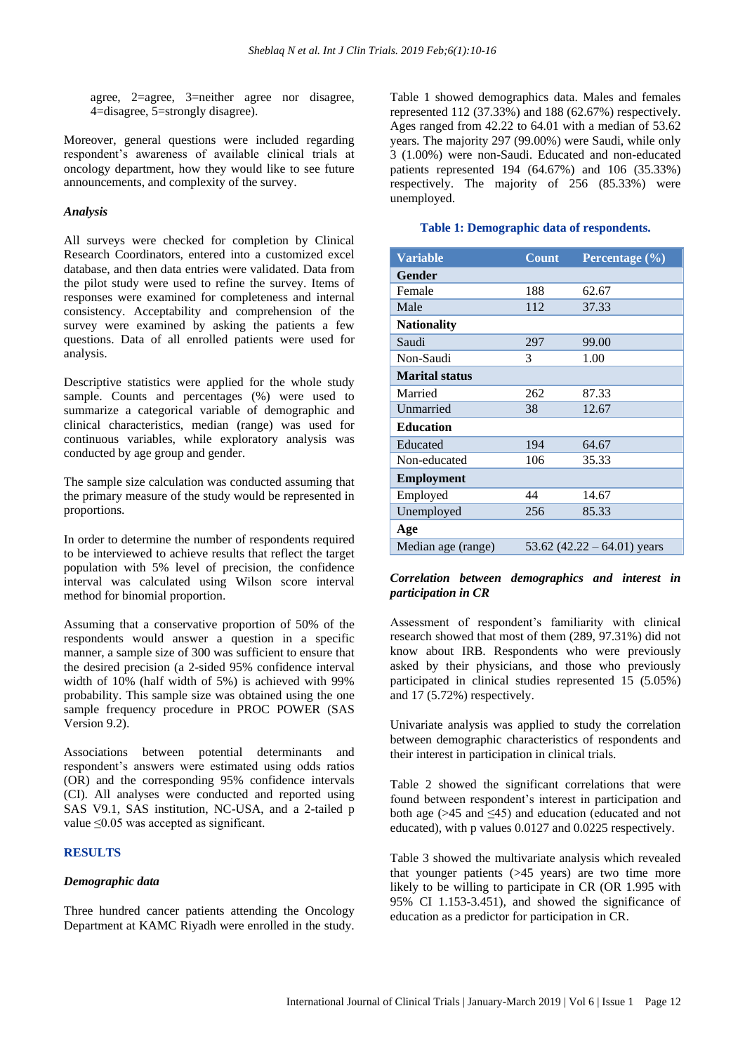agree, 2=agree, 3=neither agree nor disagree, 4=disagree, 5=strongly disagree).

Moreover, general questions were included regarding respondent's awareness of available clinical trials at oncology department, how they would like to see future announcements, and complexity of the survey.

#### *Analysis*

All surveys were checked for completion by Clinical Research Coordinators, entered into a customized excel database, and then data entries were validated. Data from the pilot study were used to refine the survey. Items of responses were examined for completeness and internal consistency. Acceptability and comprehension of the survey were examined by asking the patients a few questions. Data of all enrolled patients were used for analysis.

Descriptive statistics were applied for the whole study sample. Counts and percentages (%) were used to summarize a categorical variable of demographic and clinical characteristics, median (range) was used for continuous variables, while exploratory analysis was conducted by age group and gender.

The sample size calculation was conducted assuming that the primary measure of the study would be represented in proportions.

In order to determine the number of respondents required to be interviewed to achieve results that reflect the target population with 5% level of precision, the confidence interval was calculated using Wilson score interval method for binomial proportion.

Assuming that a conservative proportion of 50% of the respondents would answer a question in a specific manner, a sample size of 300 was sufficient to ensure that the desired precision (a 2-sided 95% confidence interval width of 10% (half width of 5%) is achieved with 99% probability. This sample size was obtained using the one sample frequency procedure in PROC POWER (SAS Version 9.2).

Associations between potential determinants and respondent's answers were estimated using odds ratios (OR) and the corresponding 95% confidence intervals (CI). All analyses were conducted and reported using SAS V9.1, SAS institution, NC-USA, and a 2-tailed p value ≤0.05 was accepted as significant.

#### **RESULTS**

#### *Demographic data*

Three hundred cancer patients attending the Oncology Department at KAMC Riyadh were enrolled in the study. Table 1 showed demographics data. Males and females represented 112 (37.33%) and 188 (62.67%) respectively. Ages ranged from 42.22 to 64.01 with a median of 53.62 years. The majority 297 (99.00%) were Saudi, while only 3 (1.00%) were non-Saudi. Educated and non-educated patients represented 194 (64.67%) and 106 (35.33%) respectively. The majority of 256 (85.33%) were unemployed.

#### **Table 1: Demographic data of respondents.**

| <b>Variable</b>       | <b>Count</b>                  | Percentage (%) |
|-----------------------|-------------------------------|----------------|
| Gender                |                               |                |
| Female                | 188                           | 62.67          |
| Male                  | 112                           | 37.33          |
| <b>Nationality</b>    |                               |                |
| Saudi                 | 297                           | 99.00          |
| Non-Saudi             | 3                             | 1.00           |
| <b>Marital status</b> |                               |                |
| Married               | 262                           | 87.33          |
| Unmarried             | 38                            | 12.67          |
| <b>Education</b>      |                               |                |
| Educated              | 194                           | 64.67          |
| Non-educated          | 106                           | 35.33          |
| <b>Employment</b>     |                               |                |
| Employed              | 44                            | 14.67          |
| Unemployed            | 256                           | 85.33          |
| Age                   |                               |                |
| Median age (range)    | 53.62 $(42.22 - 64.01)$ years |                |

#### *Correlation between demographics and interest in participation in CR*

Assessment of respondent's familiarity with clinical research showed that most of them (289, 97.31%) did not know about IRB. Respondents who were previously asked by their physicians, and those who previously participated in clinical studies represented 15 (5.05%) and 17 (5.72%) respectively.

Univariate analysis was applied to study the correlation between demographic characteristics of respondents and their interest in participation in clinical trials.

Table 2 showed the significant correlations that were found between respondent's interest in participation and both age  $($ >45 and  $\leq$ 45) and education (educated and not educated), with p values 0.0127 and 0.0225 respectively.

Table 3 showed the multivariate analysis which revealed that younger patients (>45 years) are two time more likely to be willing to participate in CR (OR 1.995 with 95% CI 1.153-3.451), and showed the significance of education as a predictor for participation in CR.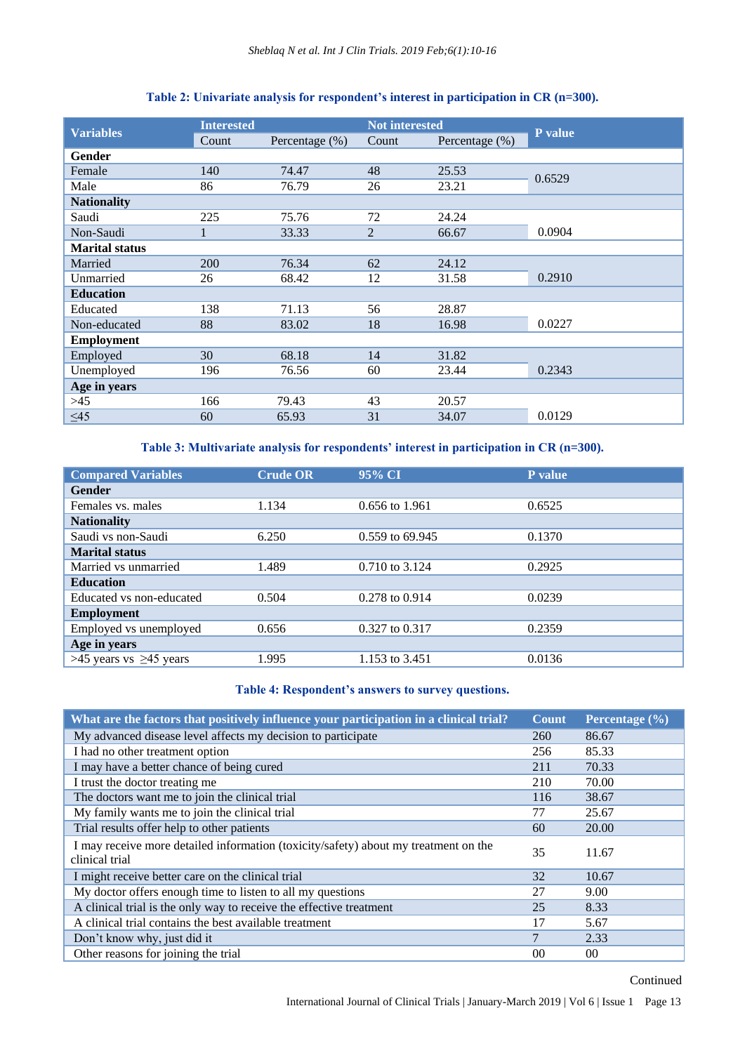| <b>Variables</b>      | <b>Interested</b> |                   | <b>Not interested</b> |                   |         |
|-----------------------|-------------------|-------------------|-----------------------|-------------------|---------|
|                       | Count             | Percentage $(\%)$ | Count                 | Percentage $(\%)$ | P value |
| Gender                |                   |                   |                       |                   |         |
| Female                | 140               | 74.47             | 48                    | 25.53             | 0.6529  |
| Male                  | 86                | 76.79             | 26                    | 23.21             |         |
| <b>Nationality</b>    |                   |                   |                       |                   |         |
| Saudi                 | 225               | 75.76             | 72                    | 24.24             |         |
| Non-Saudi             | 1                 | 33.33             | 2                     | 66.67             | 0.0904  |
| <b>Marital status</b> |                   |                   |                       |                   |         |
| Married               | 200               | 76.34             | 62                    | 24.12             |         |
| Unmarried             | 26                | 68.42             | 12                    | 31.58             | 0.2910  |
| <b>Education</b>      |                   |                   |                       |                   |         |
| Educated              | 138               | 71.13             | 56                    | 28.87             |         |
| Non-educated          | 88                | 83.02             | 18                    | 16.98             | 0.0227  |
| <b>Employment</b>     |                   |                   |                       |                   |         |
| Employed              | 30                | 68.18             | 14                    | 31.82             |         |
| Unemployed            | 196               | 76.56             | 60                    | 23.44             | 0.2343  |
| Age in years          |                   |                   |                       |                   |         |
| >45                   | 166               | 79.43             | 43                    | 20.57             |         |
| $\leq 45$             | 60                | 65.93             | 31                    | 34.07             | 0.0129  |

# **Table 2: Univariate analysis for respondent's interest in participation in CR (n=300).**

**Table 3: Multivariate analysis for respondents' interest in participation in CR (n=300).**

| <b>Compared Variables</b>    | <b>Crude OR</b> | $95\sqrt{6}$ CI    | P value |
|------------------------------|-----------------|--------------------|---------|
| <b>Gender</b>                |                 |                    |         |
| Females vs. males            | 1.134           | 0.656 to 1.961     | 0.6525  |
| <b>Nationality</b>           |                 |                    |         |
| Saudi vs non-Saudi           | 6.250           | 0.559 to 69.945    | 0.1370  |
| <b>Marital status</b>        |                 |                    |         |
| Married vs unmarried         | 1.489           | 0.710 to 3.124     | 0.2925  |
| <b>Education</b>             |                 |                    |         |
| Educated vs non-educated     | 0.504           | $0.278$ to $0.914$ | 0.0239  |
| <b>Employment</b>            |                 |                    |         |
| Employed vs unemployed       | 0.656           | 0.327 to 0.317     | 0.2359  |
| Age in years                 |                 |                    |         |
| >45 years vs $\geq$ 45 years | 1.995           | 1.153 to 3.451     | 0.0136  |

## **Table 4: Respondent's answers to survey questions.**

| What are the factors that positively influence your participation in a clinical trial?                | <b>Count</b>    | Percentage (%)  |
|-------------------------------------------------------------------------------------------------------|-----------------|-----------------|
| My advanced disease level affects my decision to participate                                          | 260             | 86.67           |
| I had no other treatment option                                                                       | 256             | 85.33           |
| I may have a better chance of being cured                                                             | 211             | 70.33           |
| I trust the doctor treating me                                                                        | 210             | 70.00           |
| The doctors want me to join the clinical trial                                                        | 116             | 38.67           |
| My family wants me to join the clinical trial                                                         | 77              | 25.67           |
| Trial results offer help to other patients                                                            | 60              | 20.00           |
| I may receive more detailed information (toxicity/safety) about my treatment on the<br>clinical trial | 35              | 11.67           |
| I might receive better care on the clinical trial                                                     | 32              | 10.67           |
| My doctor offers enough time to listen to all my questions                                            | 27              | 9.00            |
| A clinical trial is the only way to receive the effective treatment                                   | 25              | 8.33            |
| A clinical trial contains the best available treatment                                                | 17              | 5.67            |
| Don't know why, just did it                                                                           | 7               | 2.33            |
| Other reasons for joining the trial                                                                   | 00 <sup>2</sup> | 00 <sup>1</sup> |

# Continued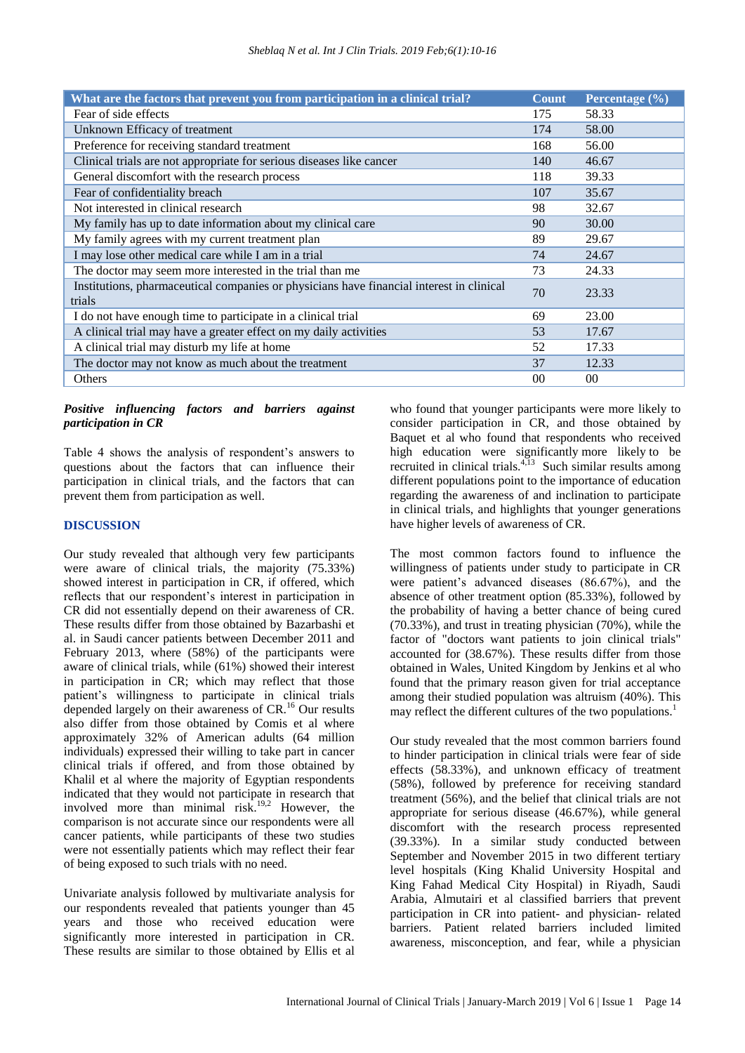| What are the factors that prevent you from participation in a clinical trial?                      | <b>Count</b>    | Percentage (%) |
|----------------------------------------------------------------------------------------------------|-----------------|----------------|
| Fear of side effects                                                                               | 175             | 58.33          |
| Unknown Efficacy of treatment                                                                      | 174             | 58.00          |
| Preference for receiving standard treatment                                                        | 168             | 56.00          |
| Clinical trials are not appropriate for serious diseases like cancer                               | 140             | 46.67          |
| General discomfort with the research process                                                       | 118             | 39.33          |
| Fear of confidentiality breach                                                                     | 107             | 35.67          |
| Not interested in clinical research                                                                | 98              | 32.67          |
| My family has up to date information about my clinical care                                        | 90              | 30.00          |
| My family agrees with my current treatment plan                                                    |                 | 29.67          |
| I may lose other medical care while I am in a trial                                                | 74              | 24.67          |
| The doctor may seem more interested in the trial than me                                           | 73              | 24.33          |
| Institutions, pharmaceutical companies or physicians have financial interest in clinical<br>trials | 70              | 23.33          |
| I do not have enough time to participate in a clinical trial                                       | 69              | 23.00          |
| A clinical trial may have a greater effect on my daily activities                                  |                 | 17.67          |
| A clinical trial may disturb my life at home                                                       |                 | 17.33          |
| The doctor may not know as much about the treatment                                                |                 | 12.33          |
| Others                                                                                             | 00 <sup>0</sup> | $00\,$         |

*Positive influencing factors and barriers against participation in CR*

Table 4 shows the analysis of respondent's answers to questions about the factors that can influence their participation in clinical trials, and the factors that can prevent them from participation as well.

#### **DISCUSSION**

Our study revealed that although very few participants were aware of clinical trials, the majority (75.33%) showed interest in participation in CR, if offered, which reflects that our respondent's interest in participation in CR did not essentially depend on their awareness of CR. These results differ from those obtained by Bazarbashi et al. in Saudi cancer patients between December 2011 and February 2013, where (58%) of the participants were aware of clinical trials, while (61%) showed their interest in participation in CR; which may reflect that those patient's willingness to participate in clinical trials depended largely on their awareness of CR.<sup>16</sup> Our results also differ from those obtained by Comis et al where approximately 32% of American adults (64 million individuals) expressed their willing to take part in cancer clinical trials if offered, and from those obtained by Khalil et al where the majority of Egyptian respondents indicated that they would not participate in research that involved more than minimal risk.<sup>19,2</sup> However, the comparison is not accurate since our respondents were all cancer patients, while participants of these two studies were not essentially patients which may reflect their fear of being exposed to such trials with no need.

Univariate analysis followed by multivariate analysis for our respondents revealed that patients younger than 45 years and those who received education were significantly more interested in participation in CR. These results are similar to those obtained by Ellis et al

who found that younger participants were more likely to consider participation in CR, and those obtained by Baquet et al who found that respondents who received high education were significantly more likely to be recruited in clinical trials. $4,13$  Such similar results among different populations point to the importance of education regarding the awareness of and inclination to participate in clinical trials, and highlights that younger generations have higher levels of awareness of CR.

The most common factors found to influence the willingness of patients under study to participate in CR were patient's advanced diseases (86.67%), and the absence of other treatment option (85.33%), followed by the probability of having a better chance of being cured (70.33%), and trust in treating physician (70%), while the factor of "doctors want patients to join clinical trials" accounted for (38.67%). These results differ from those obtained in Wales, United Kingdom by Jenkins et al who found that the primary reason given for trial acceptance among their studied population was altruism (40%). This may reflect the different cultures of the two populations.<sup>1</sup>

Our study revealed that the most common barriers found to hinder participation in clinical trials were fear of side effects (58.33%), and unknown efficacy of treatment (58%), followed by preference for receiving standard treatment (56%), and the belief that clinical trials are not appropriate for serious disease (46.67%), while general discomfort with the research process represented (39.33%). In a similar study conducted between September and November 2015 in two different tertiary level hospitals (King Khalid University Hospital and King Fahad Medical City Hospital) in Riyadh, Saudi Arabia, Almutairi et al classified barriers that prevent participation in CR into patient- and physician- related barriers. Patient related barriers included limited awareness, misconception, and fear, while a physician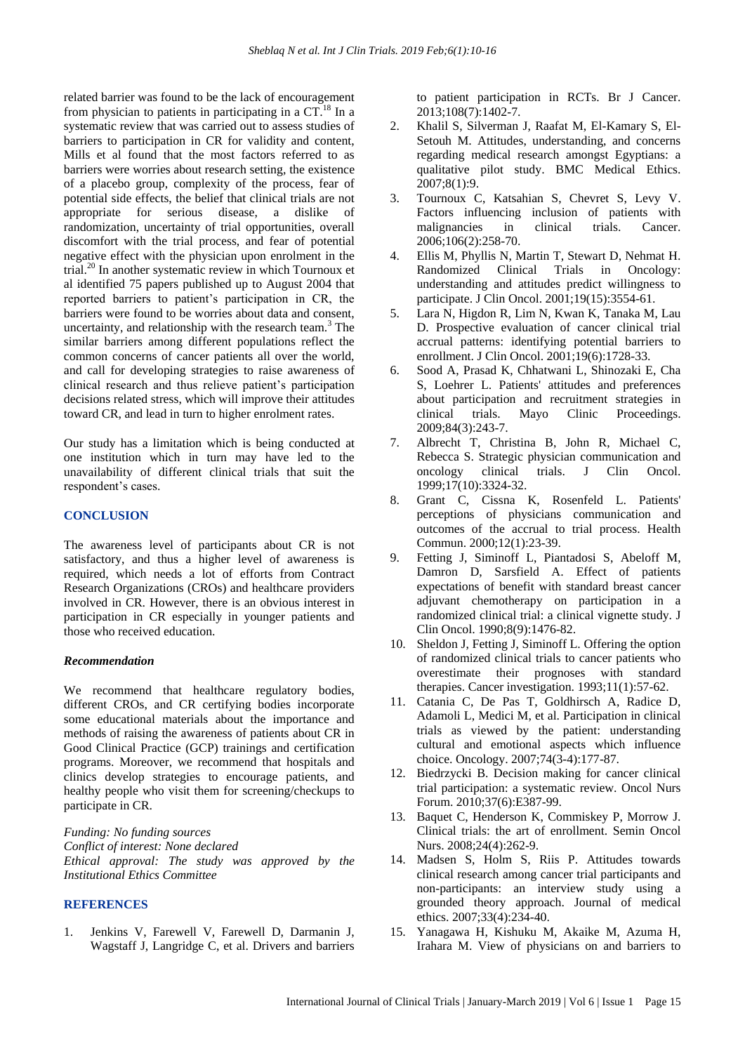related barrier was found to be the lack of encouragement from physician to patients in participating in a  $CT<sup>18</sup>$  In a systematic review that was carried out to assess studies of barriers to participation in CR for validity and content, Mills et al found that the most factors referred to as barriers were worries about research setting, the existence of a placebo group, complexity of the process, fear of potential side effects, the belief that clinical trials are not appropriate for serious disease, a dislike of randomization, uncertainty of trial opportunities, overall discomfort with the trial process, and fear of potential negative effect with the physician upon enrolment in the trial.<sup>20</sup> In another systematic review in which Tournoux et al identified 75 papers published up to August 2004 that reported barriers to patient's participation in CR, the barriers were found to be worries about data and consent, uncertainty, and relationship with the research team.<sup>3</sup> The similar barriers among different populations reflect the common concerns of cancer patients all over the world, and call for developing strategies to raise awareness of clinical research and thus relieve patient's participation decisions related stress, which will improve their attitudes toward CR, and lead in turn to higher enrolment rates.

Our study has a limitation which is being conducted at one institution which in turn may have led to the unavailability of different clinical trials that suit the respondent's cases.

## **CONCLUSION**

The awareness level of participants about CR is not satisfactory, and thus a higher level of awareness is required, which needs a lot of efforts from Contract Research Organizations (CROs) and healthcare providers involved in CR. However, there is an obvious interest in participation in CR especially in younger patients and those who received education.

#### *Recommendation*

We recommend that healthcare regulatory bodies, different CROs, and CR certifying bodies incorporate some educational materials about the importance and methods of raising the awareness of patients about CR in Good Clinical Practice (GCP) trainings and certification programs. Moreover, we recommend that hospitals and clinics develop strategies to encourage patients, and healthy people who visit them for screening/checkups to participate in CR.

*Funding: No funding sources Conflict of interest: None declared Ethical approval: The study was approved by the Institutional Ethics Committee*

## **REFERENCES**

1. Jenkins V, Farewell V, Farewell D, Darmanin J, Wagstaff J, Langridge C, et al. Drivers and barriers to patient participation in RCTs. Br J Cancer. 2013;108(7):1402-7.

- 2. Khalil S, Silverman J, Raafat M, El-Kamary S, El-Setouh M. Attitudes, understanding, and concerns regarding medical research amongst Egyptians: a qualitative pilot study. BMC Medical Ethics.  $2007:8(1):9.$
- 3. Tournoux C, Katsahian S, Chevret S, Levy V. Factors influencing inclusion of patients with malignancies in clinical trials. Cancer. 2006;106(2):258-70.
- 4. Ellis M, Phyllis N, Martin T, Stewart D, Nehmat H. Randomized Clinical Trials in Oncology: understanding and attitudes predict willingness to participate. J Clin Oncol. 2001;19(15):3554-61.
- 5. Lara N, Higdon R, Lim N, Kwan K, Tanaka M, Lau D. Prospective evaluation of cancer clinical trial accrual patterns: identifying potential barriers to enrollment. J Clin Oncol. 2001;19(6):1728-33.
- 6. Sood A, Prasad K, Chhatwani L, Shinozaki E, Cha S, Loehrer L. Patients' attitudes and preferences about participation and recruitment strategies in clinical trials. Mayo Clinic Proceedings. 2009;84(3):243-7.
- 7. Albrecht T, Christina B, John R, Michael C, Rebecca S. Strategic physician communication and oncology clinical trials. J Clin Oncol. 1999;17(10):3324-32.
- 8. Grant C, Cissna K, Rosenfeld L. Patients' perceptions of physicians communication and outcomes of the accrual to trial process. Health Commun. 2000;12(1):23-39.
- 9. Fetting J, Siminoff L, Piantadosi S, Abeloff M, Damron D, Sarsfield A. Effect of patients expectations of benefit with standard breast cancer adjuvant chemotherapy on participation in a randomized clinical trial: a clinical vignette study. J Clin Oncol. 1990;8(9):1476-82.
- 10. Sheldon J, Fetting J, Siminoff L. Offering the option of randomized clinical trials to cancer patients who overestimate their prognoses with standard therapies. Cancer investigation. 1993;11(1):57-62.
- 11. Catania C, De Pas T, Goldhirsch A, Radice D, Adamoli L, Medici M, et al. Participation in clinical trials as viewed by the patient: understanding cultural and emotional aspects which influence choice. Oncology. 2007;74(3-4):177-87.
- 12. Biedrzycki B. Decision making for cancer clinical trial participation: a systematic review. Oncol Nurs Forum. 2010;37(6):E387-99.
- 13. Baquet C, Henderson K, Commiskey P, Morrow J. Clinical trials: the art of enrollment. Semin Oncol Nurs. 2008;24(4):262-9.
- 14. Madsen S, Holm S, Riis P. Attitudes towards clinical research among cancer trial participants and non-participants: an interview study using a grounded theory approach. Journal of medical ethics. 2007;33(4):234-40.
- 15. Yanagawa H, Kishuku M, Akaike M, Azuma H, Irahara M. View of physicians on and barriers to